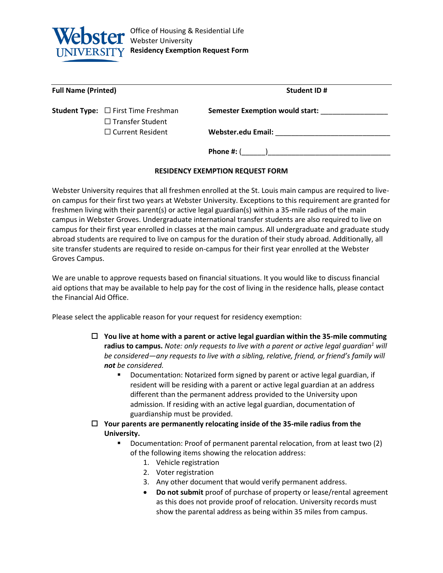

| <b>Full Name (Printed)</b> |                                                                            | <b>Student ID#</b>                     |
|----------------------------|----------------------------------------------------------------------------|----------------------------------------|
|                            | <b>Student Type:</b> $\Box$ First Time Freshman<br>$\Box$ Transfer Student | <b>Semester Exemption would start:</b> |
|                            | $\Box$ Current Resident                                                    | <b>Webster.edu Email:</b>              |
|                            |                                                                            | Phone $#: ($                           |

## **RESIDENCY EXEMPTION REQUEST FORM**

Webster University requires that all freshmen enrolled at the St. Louis main campus are required to liveon campus for their first two years at Webster University. Exceptions to this requirement are granted for freshmen living with their parent(s) or active legal guardian(s) within a 35-mile radius of the main campus in Webster Groves. Undergraduate international transfer students are also required to live on campus for their first year enrolled in classes at the main campus. All undergraduate and graduate study abroad students are required to live on campus for the duration of their study abroad. Additionally, all site transfer students are required to reside on-campus for their first year enrolled at the Webster Groves Campus.

We are unable to approve requests based on financial situations. It you would like to discuss financial aid options that may be available to help pay for the cost of living in the residence halls, please contact the Financial Aid Office.

Please select the applicable reason for your request for residency exemption:

- **You live at home with a parent or active legal guardian within the 35-mile commuting radius to campus.** *Note: only requests to live with a parent or active legal guardian<sup>1</sup> will be considered—any requests to live with a sibling, relative, friend, or friend's family will not be considered.*
	- Documentation: Notarized form signed by parent or active legal guardian, if resident will be residing with a parent or active legal guardian at an address different than the permanent address provided to the University upon admission. If residing with an active legal guardian, documentation of guardianship must be provided.
- **Your parents are permanently relocating inside of the 35-mile radius from the University.**
	- Documentation: Proof of permanent parental relocation, from at least two (2) of the following items showing the relocation address:
		- 1. Vehicle registration
		- 2. Voter registration
		- 3. Any other document that would verify permanent address.
		- **Do not submit** proof of purchase of property or lease/rental agreement as this does not provide proof of relocation. University records must show the parental address as being within 35 miles from campus.